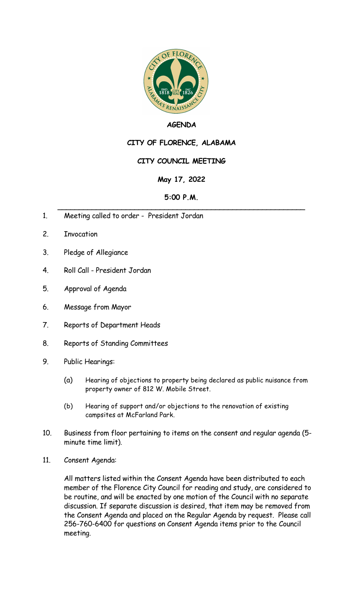

# **AGENDA**

# **CITY OF FLORENCE, ALABAMA**

## **CITY COUNCIL MEETING**

## **May 17, 2022**

#### **5:00 P.M.** \_\_\_\_\_\_\_\_\_\_\_\_\_\_\_\_\_\_\_\_\_\_\_\_\_\_\_\_\_\_\_\_\_\_\_\_\_\_\_\_\_\_\_\_\_\_\_\_\_\_\_\_\_\_\_\_\_\_

- 1. Meeting called to order President Jordan
- 2. Invocation
- 3. Pledge of Allegiance
- 4. Roll Call President Jordan
- 5. Approval of Agenda
- 6. Message from Mayor
- 7. Reports of Department Heads
- 8. Reports of Standing Committees
- 9. Public Hearings:
	- (a) Hearing of objections to property being declared as public nuisance from property owner of 812 W. Mobile Street.
	- (b) Hearing of support and/or objections to the renovation of existing campsites at McFarland Park.
- 10. Business from floor pertaining to items on the consent and regular agenda (5 minute time limit).
- 11. Consent Agenda:

All matters listed within the Consent Agenda have been distributed to each member of the Florence City Council for reading and study, are considered to be routine, and will be enacted by one motion of the Council with no separate discussion. If separate discussion is desired, that item may be removed from the Consent Agenda and placed on the Regular Agenda by request. Please call 256-760-6400 for questions on Consent Agenda items prior to the Council meeting.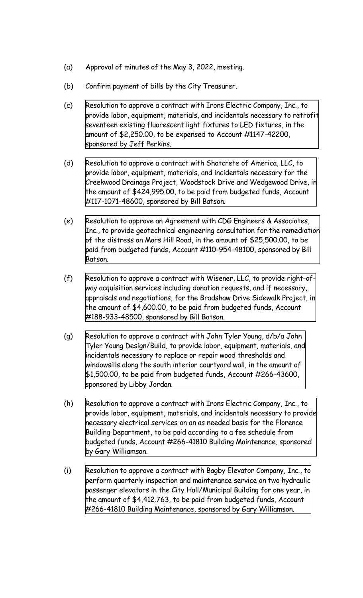- (a) Approval of minutes of the May 3, 2022, meeting.
- (b) Confirm payment of bills by the City Treasurer.
- (c) Resolution to approve a contract with Irons Electric Company, Inc., to provide labor, equipment, materials, and incidentals necessary to retrofit seventeen existing fluorescent light fixtures to LED fixtures, in the amount of \$2,250.00, to be expensed to Account [#1147-42200,](http://www.shoalsweb.com/agenda/05172211c.pdf) sponsored by Jeff Perkins.
- (d) Resolution to approve a contract with Shotcrete of America, LLC, to provide labor, equipment, materials, and incidentals necessary for the Creekwood Drainage Project, Woodstock Drive and Wedgewood Drive, in the amount of \$424,995.00, to be paid from budgeted funds, Account [#117-1071-48600,](http://www.shoalsweb.com/agenda/05172211d.pdf) sponsored by Bill Batson.
- (e) Resolution to approve an Agreement with CDG Engineers & Associates, Inc., to provide geotechnical engineering consultation for the remediation of the distress on Mars Hill Road, in the amount of \$25,500.00, to be paid from budgeted funds, Account [#110-954-48100,](http://www.shoalsweb.com/agenda/05172211e.pdf) sponsored by Bill Batson.
- (f) Resolution to approve a contract with Wisener, LLC, to provide right-ofway acquisition services including donation requests, and if necessary, appraisals and negotiations, for the Bradshaw Drive Sidewalk Project, in the amount of \$4,600.00, to be paid from budgeted funds, Account [#188-933-48500,](http://www.shoalsweb.com/agenda/05172211f.pdf) sponsored by Bill Batson.
- (g) Resolution to approve a contract with John Tyler Young, d/b/a John Tyler Young Design/Build, to provide labor, equipment, materials, and incidentals necessary to replace or repair wood thresholds and windowsills along the south interior courtyard wall, in the amount of \$1,500.00, to be paid from budgeted funds, Account [#266-43600,](http://www.shoalsweb.com/agenda/05172211g.pdf) sponsored by Libby Jordan.
- (h) Resolution to approve a contract with Irons Electric Company, Inc., to provide labor, equipment, materials, and incidentals necessary to provide necessary electrical services on an as needed basis for the Florence Building Department, to be paid according to a fee schedule from budgeted funds, Account #266-41810 Building [Maintenance,](http://www.shoalsweb.com/agenda/05172211h.pdf) sponsored by Gary Williamson.
- (i) Resolution to approve a contract with Bagby Elevator Company, Inc., to perform quarterly inspection and maintenance service on two hydraulic passenger elevators in the City [Hall/Municipal](http://www.shoalsweb.com/agenda/05172211i.pdf) Building for one year, in the amount of \$4,412.763, to be paid from budgeted funds, Account #266-41810 Building Maintenance, sponsored by Gary Williamson.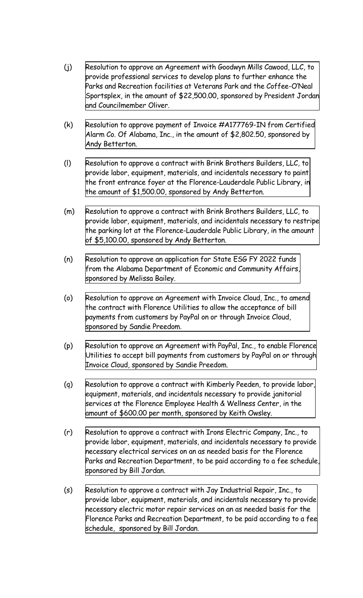- (j) Resolution to approve an Agreement with Goodwyn Mills Cawood, LLC, to provide professional services to develop plans to further enhance the Parks and Recreation facilities at Veterans Park and the Coffee-O'Neal Sportsplex, in the amount of \$22,500.00, sponsored by President Jordan and [Councilmember](http://www.shoalsweb.com/agenda/05172211j.pdf) Oliver.
- (k) Resolution to approve payment of Invoice [#A177769-IN](http://www.shoalsweb.com/agenda/05172211k.pdf) from Certified Alarm Co. Of Alabama, Inc., in the amount of \$2,802.50, sponsored by Andy Betterton.
- (l) Resolution to approve a contract with Brink Brothers Builders, LLC, to provide labor, equipment, materials, and incidentals necessary to paint the front entrance foyer at the [Florence-Lauderdale](http://www.shoalsweb.com/agenda/05172211l.pdf) Public Library, in the amount of \$1,500.00, sponsored by Andy Betterton.
- (m) Resolution to approve a contract with Brink Brothers Builders, LLC, to provide labor, equipment, materials, and incidentals necessary to restripe the parking lot at the [Florence-Lauderdale](http://www.shoalsweb.com/agenda/05172211m.pdf) Public Library, in the amount of \$5,100.00, sponsored by Andy Betterton.
- (n) Resolution to approve an application for State ESG FY 2022 funds from the Alabama [Department](http://www.shoalsweb.com/agenda/05172211n.pdf) of Economic and Community Affairs, sponsored by Melissa Bailey.
- (o) Resolution to approve an [Agreement](http://www.shoalsweb.com/agenda/05172211o.pdf) with Invoice Cloud, Inc., to amend the contract with Florence Utilities to allow the acceptance of bill payments from customers by PayPal on or through Invoice Cloud, sponsored by Sandie Preedom.
- (p) Resolution to approve an [Agreement](http://www.shoalsweb.com/agenda/05172211p.pdf) with PayPal, Inc., to enable Florence Utilities to accept bill payments from customers by PayPal on or through Invoice Cloud, sponsored by Sandie Preedom.
- (q) Resolution to approve a contract with Kimberly Peeden, to provide labor, [equipment,](http://www.shoalsweb.com/agenda/05172211q.pdf) materials, and incidentals necessary to provide janitorial services at the Florence Employee Health & Wellness Center, in the amount of \$600.00 per month, sponsored by Keith Owsley.
- (r) Resolution to approve a contract with Irons Electric Company, Inc., to provide labor, equipment, materials, and incidentals necessary to provide necessary electrical services on an as needed basis for the Florence Parks and Recreation [Department,](http://www.shoalsweb.com/agenda/05172211r.pdf) to be paid according to a fee schedule, sponsored by Bill Jordan.
- (s) Resolution to approve a contract with Jay Industrial Repair, Inc., to provide labor, equipment, materials, and incidentals necessary to provide necessary electric motor repair services on an as needed basis for the Florence Parks and Recreation [Department,](http://www.shoalsweb.com/agenda/05172211s.pdf) to be paid according to a fee schedule, sponsored by Bill Jordan.